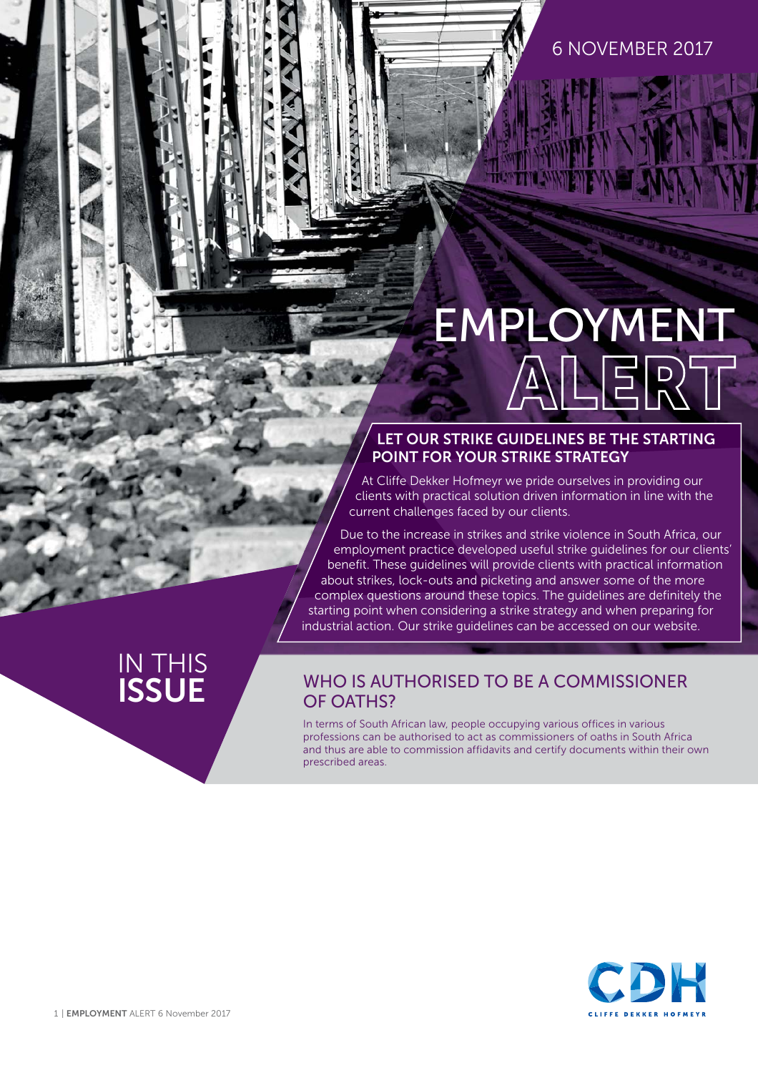#### 6 NOVEMBER 2017

# EMPLOYMENT

#### **LET OUR STRIKE GUIDELINES BE THE STARTING POINT FOR YOUR STRIKE STRATEGY**

At Cliffe Dekker Hofmeyr we pride ourselves in providing our clients with practical solution driven information in line with the current challenges faced by our clients.

Due to the increase in strikes and strike violence in South Africa, our employment practice developed useful strike guidelines for our clients' benefit. These guidelines will provide clients with practical information about strikes, lock-outs and picketing and answer some of the more complex questions around these topics. The guidelines are definitely the starting point when considering a strike strategy and when preparing for industrial action. Our [strike guidelines](https://www.cliffedekkerhofmeyr.com/export/sites/cdh/en/practice-areas/downloads/Employment-Strike-Guideline.pdf) can be accessed on our website.

## IN THIS<br>**ISSUE**

#### **INHO IS AUTHORISED TO BE A COMMISSIONER** OF OATHS?

In terms of South African law, people occupying various offices in various professions can be authorised to act as commissioners of oaths in South Africa and thus are able to commission affidavits and certify documents within their own prescribed areas.

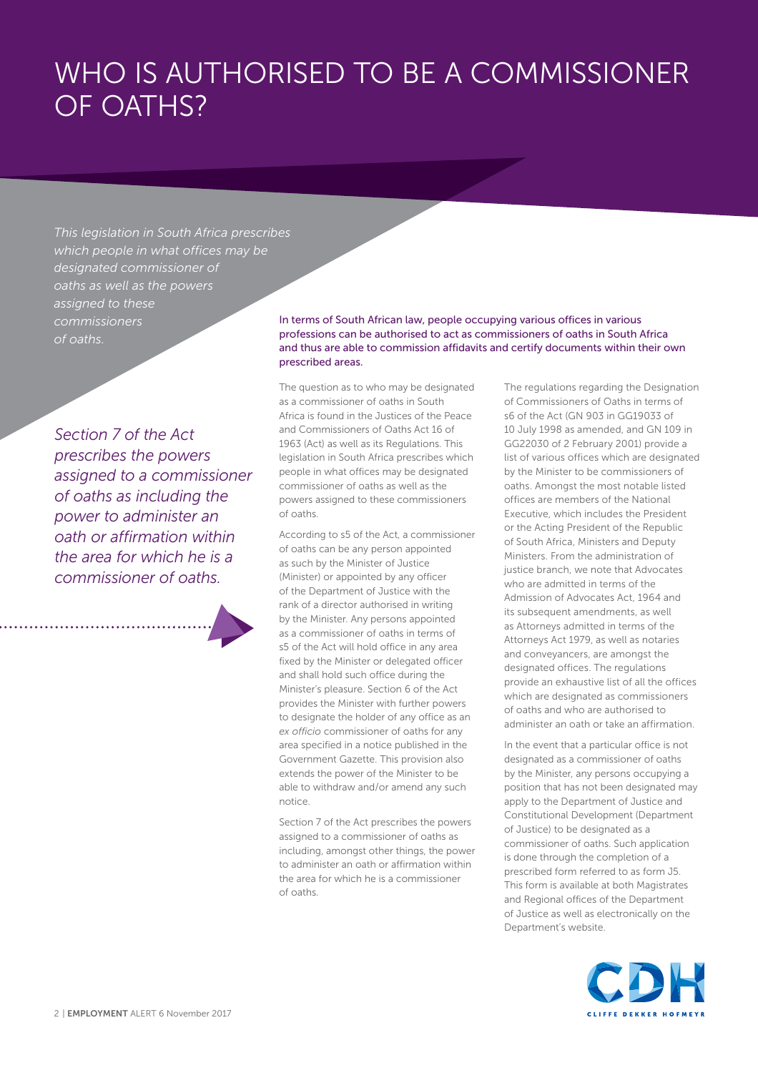## WHO IS AUTHORISED TO BE A COMMISSIONER OF OATHS?

*This legislation in South Africa prescribes which people in what offices may be designated commissioner of oaths as well as the powers assigned to these commissioners of oaths.*

*Section 7 of the Act prescribes the powers assigned to a commissioner of oaths as including the power to administer an oath or affirmation within the area for which he is a commissioner of oaths.*

In terms of South African law, people occupying various offices in various professions can be authorised to act as commissioners of oaths in South Africa and thus are able to commission affidavits and certify documents within their own prescribed areas.

The question as to who may be designated as a commissioner of oaths in South Africa is found in the Justices of the Peace and Commissioners of Oaths Act 16 of 1963 (Act) as well as its Regulations. This legislation in South Africa prescribes which people in what offices may be designated commissioner of oaths as well as the powers assigned to these commissioners of oaths.

According to s5 of the Act, a commissioner of oaths can be any person appointed as such by the Minister of Justice (Minister) or appointed by any officer of the Department of Justice with the rank of a director authorised in writing by the Minister. Any persons appointed as a commissioner of oaths in terms of s5 of the Act will hold office in any area fixed by the Minister or delegated officer and shall hold such office during the Minister's pleasure. Section 6 of the Act provides the Minister with further powers to designate the holder of any office as an *ex officio* commissioner of oaths for any area specified in a notice published in the Government Gazette. This provision also extends the power of the Minister to be able to withdraw and/or amend any such notice.

Section 7 of the Act prescribes the powers assigned to a commissioner of oaths as including, amongst other things, the power to administer an oath or affirmation within the area for which he is a commissioner of oaths.

The regulations regarding the Designation of Commissioners of Oaths in terms of s6 of the Act (GN 903 in GG19033 of 10 July 1998 as amended, and GN 109 in GG22030 of 2 February 2001) provide a list of various offices which are designated by the Minister to be commissioners of oaths. Amongst the most notable listed offices are members of the National Executive, which includes the President or the Acting President of the Republic of South Africa, Ministers and Deputy Ministers. From the administration of justice branch, we note that Advocates who are admitted in terms of the Admission of Advocates Act, 1964 and its subsequent amendments, as well as Attorneys admitted in terms of the Attorneys Act 1979, as well as notaries and conveyancers, are amongst the designated offices. The regulations provide an exhaustive list of all the offices which are designated as commissioners of oaths and who are authorised to administer an oath or take an affirmation.

In the event that a particular office is not designated as a commissioner of oaths by the Minister, any persons occupying a position that has not been designated may apply to the Department of Justice and Constitutional Development (Department of Justice) to be designated as a commissioner of oaths. Such application is done through the completion of a prescribed form referred to as form J5. This form is available at both Magistrates and Regional offices of the Department of Justice as well as electronically on the Department's website.

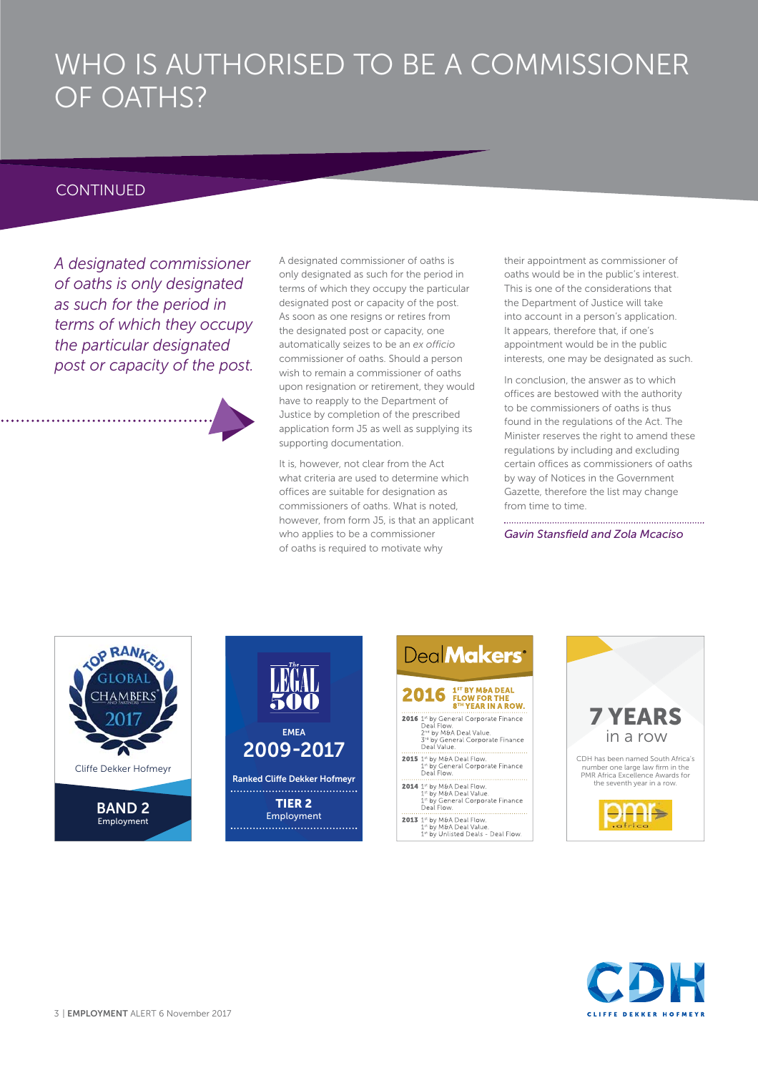## WHO IS AUTHORISED TO BE A COMMISSIONER OF OATHS?

#### **CONTINUED**

*A designated commissioner of oaths is only designated as such for the period in terms of which they occupy the particular designated post or capacity of the post.* 

A designated commissioner of oaths is only designated as such for the period in terms of which they occupy the particular designated post or capacity of the post. As soon as one resigns or retires from the designated post or capacity, one automatically seizes to be an *ex officio*  commissioner of oaths. Should a person wish to remain a commissioner of oaths upon resignation or retirement, they would have to reapply to the Department of Justice by completion of the prescribed application form J5 as well as supplying its supporting documentation.

It is, however, not clear from the Act what criteria are used to determine which offices are suitable for designation as commissioners of oaths. What is noted, however, from form J5, is that an applicant who applies to be a commissioner of oaths is required to motivate why

their appointment as commissioner of oaths would be in the public's interest. This is one of the considerations that the Department of Justice will take into account in a person's application. It appears, therefore that, if one's appointment would be in the public interests, one may be designated as such.

In conclusion, the answer as to which offices are bestowed with the authority to be commissioners of oaths is thus found in the regulations of the Act. The Minister reserves the right to amend these regulations by including and excluding certain offices as commissioners of oaths by way of Notices in the Government Gazette, therefore the list may change from time to time.

Gavin Stansfield and Zola Mcaciso



Employment



Employment 





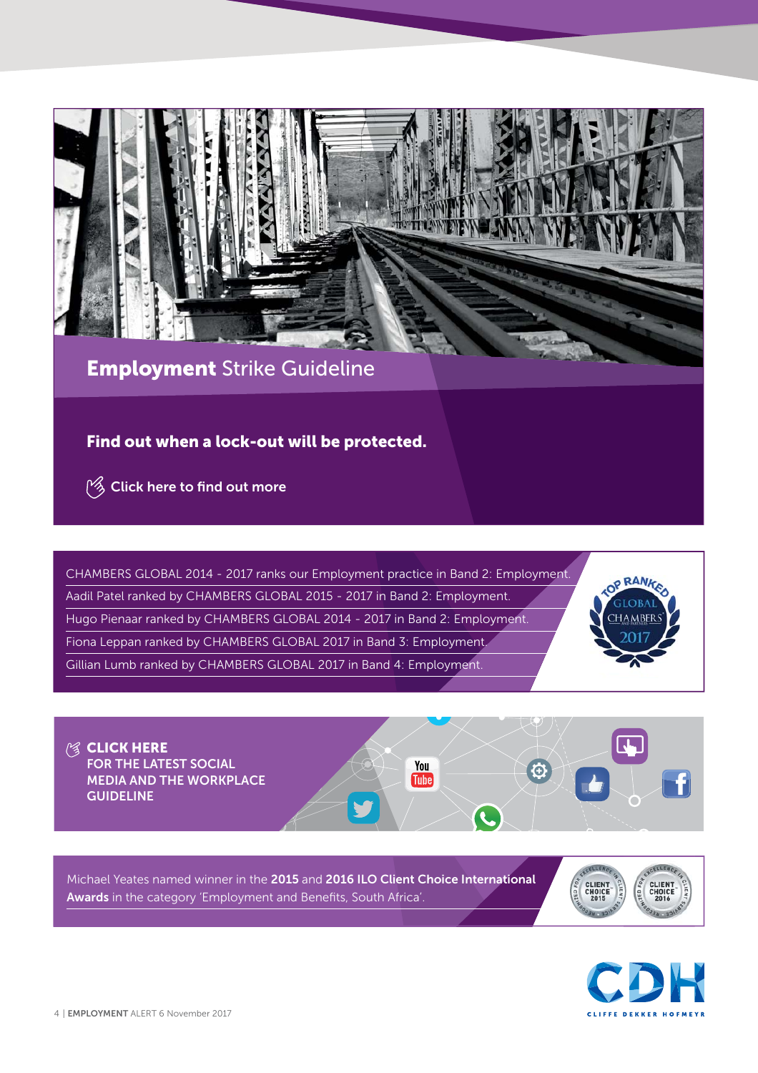

### **Employment** Strike Guideline

#### **Find out when a lock-out will be protected.**

**Example 2 [Click here to](https://www.cliffedekkerhofmeyr.com/export/sites/cdh/en/practice-areas/downloads/Employment-Strike-Guideline.pdf) find out more** 

CHAMBERS GLOBAL 2014 - 2017 ranks our Employment practice in Band 2: Employment. Aadil Patel ranked by CHAMBERS GLOBAL 2015 - 2017 in Band 2: Employment. Hugo Pienaar ranked by CHAMBERS GLOBAL 2014 - 2017 in Band 2: Employment. Fiona Leppan ranked by CHAMBERS GLOBAL 2017 in Band 3: Employment. Gillian Lumb ranked by CHAMBERS GLOBAL 2017 in Band 4: Employment.



**图 [CLICK HERE](https://www.cliffedekkerhofmeyr.com/export/sites/cdh/en/practice-areas/downloads/Social-Media-and-the-Workplace-Guideline.pdf) FOR THE LATEST SOCIAL**  You **MEDIA AND THE WORKPLACE**  Tube<sup>1</sup> **GUIDELINE**L

Michael Yeates named winner in the **2015** and **2016 ILO Client Choice International**  Awards in the category 'Employment and Benefits, South Africa'.